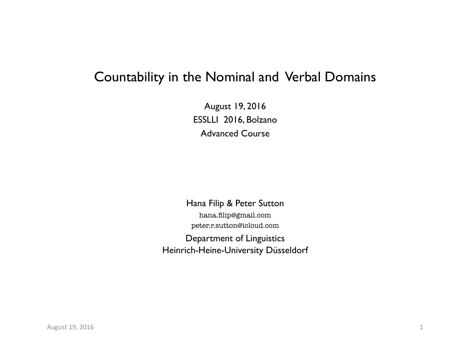# Countability in the Nominal and Verbal Domains

August 19, 2016 ESSLLI 2016, Bolzano Advanced Course

Hana Filip & Peter Sutton

hana.filip@gmail.com peter.r.sutton@icloud.com

Department of Linguistics Heinrich-Heine-University Düsseldorf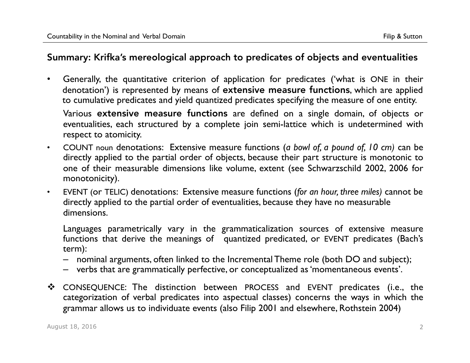## Summary: Krifka's mereological approach to predicates of objects and eventualities

• Generally, the quantitative criterion of application for predicates ('what is ONE in their denotation') is represented by means of extensive measure functions, which are applied to cumulative predicates and yield quantized predicates specifying the measure of one entity.

Various extensive measure functions are defined on a single domain, of objects or eventualities, each structured by a complete join semi-lattice which is undetermined with respect to atomicity.

- COUNT noun denotations: Extensive measure functions (*a bowl of, a pound of, 10 cm)* can be directly applied to the partial order of objects, because their part structure is monotonic to one of their measurable dimensions like volume, extent (see Schwarzschild 2002, 2006 for monotonicity).
- EVENT (or TELIC) denotations: Extensive measure functions (*for an hour, three miles)* cannot be directly applied to the partial order of eventualities, because they have no measurable dimensions.

Languages parametrically vary in the grammaticalization sources of extensive measure functions that derive the meanings of quantized predicated, or EVENT predicates (Bach's term):

- nominal arguments, often linked to the Incremental Theme role (both DO and subject);
- verbs that are grammatically perfective, or conceptualized as 'momentaneous events'.
- CONSEQUENCE: The distinction between PROCESS and EVENT predicates (i.e., the categorization of verbal predicates into aspectual classes) concerns the ways in which the grammar allows us to individuate events (also Filip 2001 and elsewhere, Rothstein 2004)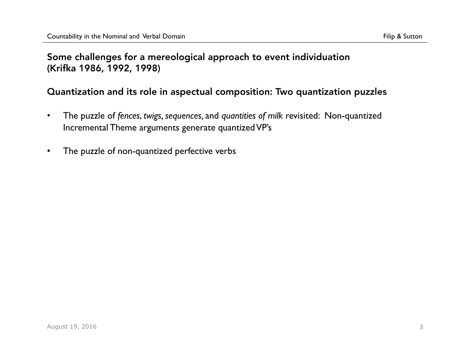## Some challenges for a mereological approach to event individuation (Krifka 1986, 1992, 1998)

## Quantization and its role in aspectual composition: Two quantization puzzles

- The puzzle of *fences*, *twigs, sequences,* and *quantities of milk* revisited: Non-quantized Incremental Theme arguments generate quantized VP's
- The puzzle of non-quantized perfective verbs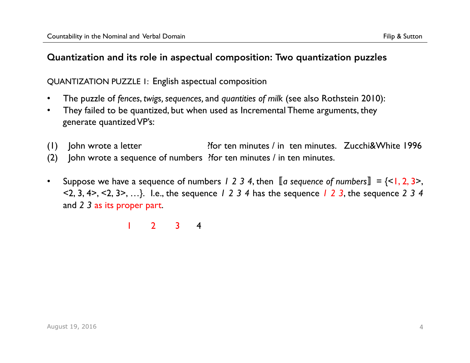## QUANTIZATION PUZZLE 1: English aspectual composition

- The puzzle of *fences*, *twigs, sequences,* and *quantities of milk* (see also Rothstein 2010):
- They failed to be quantized, but when used as Incremental Theme arguments, they generate quantized VP's:
- (1) John wrote a letter ?for ten minutes / in ten minutes. Zucchi&White 1996
- (2) John wrote a sequence of numbers ?for ten minutes / in ten minutes.
- Suppose we have a sequence of numbers  $1 \ 2 \ 3 \ 4$ , then  $\llbracket a$  sequence of numbers $\rrbracket = \{ < 1, 2, 3 \}$ , <2, 3, 4>, <2, 3>, …}. I.e., the sequence *1 2 3 4* has the sequence *1 2 3*, the sequence *2 3 4* and *2 3* as its proper part.

1 2 3 4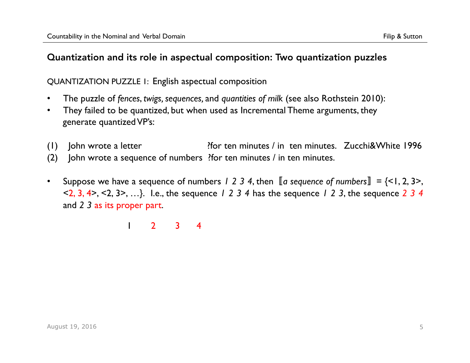## QUANTIZATION PUZZLE 1: English aspectual composition

- The puzzle of *fences*, *twigs, sequences,* and *quantities of milk* (see also Rothstein 2010):
- They failed to be quantized, but when used as Incremental Theme arguments, they generate quantized VP's:
- (1) John wrote a letter ?for ten minutes / in ten minutes. Zucchi&White 1996
- (2) John wrote a sequence of numbers ?for ten minutes / in ten minutes.
- Suppose we have a sequence of numbers  $1 \ 2 \ 3 \ 4$ , then  $\llbracket a$  sequence of numbers $\rrbracket = \{ < 1, 2, 3 \}$ , <2, 3, 4>, <2, 3>, …}. I.e., the sequence *1 2 3 4* has the sequence *1 2 3*, the sequence *2 3 4* and *2 3* as its proper part.

1 2 3 4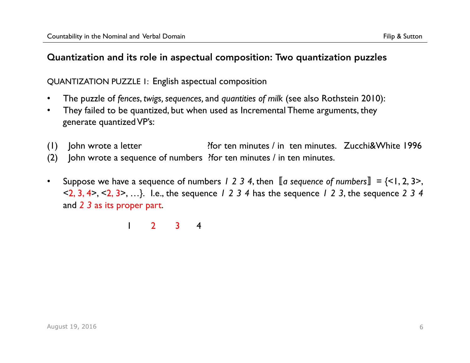## QUANTIZATION PUZZLE 1: English aspectual composition

- The puzzle of *fences*, *twigs, sequences,* and *quantities of milk* (see also Rothstein 2010):
- They failed to be quantized, but when used as Incremental Theme arguments, they generate quantized VP's:
- (1) John wrote a letter ?for ten minutes / in ten minutes. Zucchi&White 1996
- (2) John wrote a sequence of numbers ?for ten minutes / in ten minutes.
- Suppose we have a sequence of numbers  $1 \ 2 \ 3 \ 4$ , then  $\llbracket a$  sequence of numbers $\rrbracket = \{ < 1, 2, 3 \}$ , <2, 3, 4>, <2, 3>, …}. I.e., the sequence *1 2 3 4* has the sequence *1 2 3*, the sequence *2 3 4* and *2 3* as its proper part.

1 2 3 4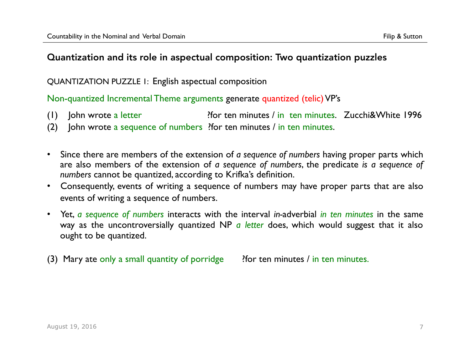#### QUANTIZATION PUZZLE 1: English aspectual composition

Non-quantized Incremental Theme arguments generate quantized (telic) VP's

- (1) John wrote a letter ?for ten minutes / in ten minutes. Zucchi&White 1996
- (2) John wrote a sequence of numbers ?for ten minutes / in ten minutes.
- Since there are members of the extension of *a sequence of numbers* having proper parts which are also members of the extension of *a sequence of numbers*, the predicate *is a sequence of numbers* cannot be quantized, according to Krifka's definition.
- Consequently, events of writing a sequence of numbers may have proper parts that are also events of writing a sequence of numbers.
- Yet, *a sequence of numbers* interacts with the interval *in-*adverbial *in ten minutes* in the same way as the uncontroversially quantized NP *a letter* does, which would suggest that it also ought to be quantized.
- (3) Mary ate only a small quantity of porridge ? For ten minutes / in ten minutes.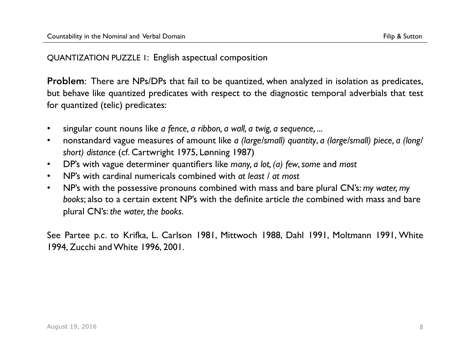Problem: There are NPs/DPs that fail to be quantized, when analyzed in isolation as predicates, but behave like quantized predicates with respect to the diagnostic temporal adverbials that test for quantized (telic) predicates:

- singular count nouns like *a fence, a ribbon, a wall, a twig, a sequence, ...*
- nonstandard vague measures of amount like *a (large/small) quantity*, *a (large/small) piece, a (long/ short) distance* (cf. Cartwright 1975, Lønning 1987)
- DP's with vague determiner quantifiers like *many, a lot, (a) few*, *some* and *most*
- NP's with cardinal numericals combined with *at least / at most*
- NP's with the possessive pronouns combined with mass and bare plural CN's: *my water, my books*; also to a certain extent NP's with the definite article *the* combined with mass and bare plural CN's: *the water, the books.*

See Partee p.c. to Krifka, L. Carlson 1981, Mittwoch 1988, Dahl 1991, Moltmann 1991, White 1994, Zucchi and White 1996, 2001.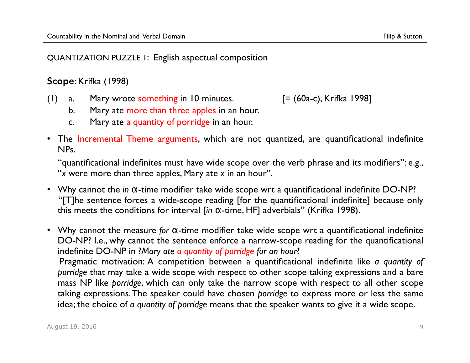Scope: Krifka (1998)

(1) a. Mary wrote something in 10 minutes.  $[=(60a-c),$  Krifka 1998]

- b. Mary ate more than three apples in an hour.
- c. Mary ate a quantity of porridge in an hour.
- The Incremental Theme arguments, which are not quantized, are quantificational indefinite NPs.

"quantificational indefinites must have wide scope over the verb phrase and its modifiers": e.g., "*x* were more than three apples, Mary ate *x* in an hour".

• Why cannot the *in* α-time modifier take wide scope wrt a quantificational indefinite DO-NP? "[T]he sentence forces a wide-scope reading [for the quantificational indefinite] because only this meets the conditions for interval [*in* α-time, HF] adverbials" (Krifka 1998).

• Why cannot the measure *for* α-time modifier take wide scope wrt a quantificational indefinite DO-NP? I.e., why cannot the sentence enforce a narrow-scope reading for the quantificational indefinite DO-NP in ?*Mary ate a quantity of porridge for an hour*? Pragmatic motivation: A competition between a quantificational indefinite like *a quantity of porridge* that may take a wide scope with respect to other scope taking expressions and a bare mass NP like *porridge*, which can only take the narrow scope with respect to all other scope taking expressions. The speaker could have chosen *porridge* to express more or less the same idea; the choice of *a quantity of porridge* means that the speaker wants to give it a wide scope.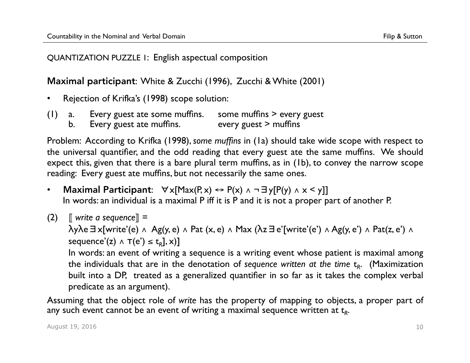Maximal participant: White & Zucchi (1996), Zucchi & White (2001)

- Rejection of Krifka's (1998) scope solution:
- (1) a. Every guest ate some muffins. some muffins > every guest
	- b. Every guest ate muffins. every guest > muffins

Problem: According to Krifka (1998), *some muffins* in (1a) should take wide scope with respect to the universal quantifier, and the odd reading that every guest ate the same muffins. We should expect this, given that there is a bare plural term muffins, as in (1b), to convey the narrow scope reading: Every guest ate muffins, but not necessarily the same ones.

- Maximal Participant:  $\forall x$ [Max(P, x)  $\leftrightarrow$  P(x)  $\land$  ¬  $\exists y$ [P(y)  $\land$  x < y]] In words: an individual is a maximal P iff it is P and it is not a proper part of another P.
- (2)  $\parallel$  *write a sequence* $\parallel$  =

λyλe∃x[write'(e) ∧ Ag(y, e) ∧ Pat (x, e) ∧ Max (λz∃e'[write'(e') ∧ Ag(y, e') ∧ Pat(z, e') ∧ sequence'(z)  $\land$  T(e')  $\leq$  t<sub>R</sub>], x)] In words: an event of writing a sequence is a writing event whose patient is maximal among

the individuals that are in the denotation of *sequence written at the time*  $t<sub>R</sub>$ . (Maximization built into a DP, treated as a generalized quantifier in so far as it takes the complex verbal predicate as an argument).

Assuming that the object role of *write* has the property of mapping to objects, a proper part of any such event cannot be an event of writing a maximal sequence written at t<sub>*R*</sub>.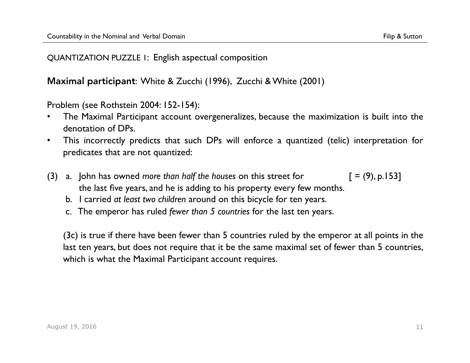Maximal participant: White & Zucchi (1996), Zucchi & White (2001)

Problem (see Rothstein 2004: 152-154):

- The Maximal Participant account overgeneralizes, because the maximization is built into the denotation of DPs.
- This incorrectly predicts that such DPs will enforce a quantized (telic) interpretation for predicates that are not quantized:
- (3) a. John has owned *more than half the houses* on this street for  $[ = (9), p.153]$  the last five years, and he is adding to his property every few months.
	- b. I carried *at least two children* around on this bicycle for ten years.
	- c. The emperor has ruled *fewer than 5 countries* for the last ten years.

(3c) is true if there have been fewer than 5 countries ruled by the emperor at all points in the last ten years, but does not require that it be the same maximal set of fewer than 5 countries, which is what the Maximal Participant account requires.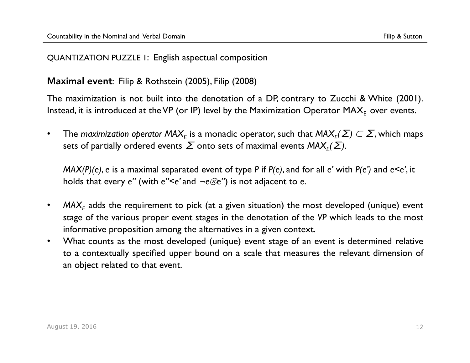## Maximal event: Filip & Rothstein (2005), Filip (2008)

The maximization is not built into the denotation of a DP, contrary to Zucchi & White (2001). Instead, it is introduced at the VP (or IP) level by the Maximization Operator  $MAX_E$  over events.

• The *maximization operator MAX*<sub>E</sub> is a monadic operator, such that  $\mathsf{MAX}_E(\Sigma) \subset \Sigma$ , which maps sets of partially ordered events  $\sum$  onto sets of maximal events  $MAX_F(\sum)$ .

*MAX(P)(e)*, *e* is a maximal separated event of type *P* if *P(e)*, and for all *e'* with *P(e')* and *e<e'*, it holds that every *e''* (with *e''<e'* and ¬*e*⊗*e''*) is not adjacent to *e*.

- MAX<sub>F</sub> adds the requirement to pick (at a given situation) the most developed (unique) event stage of the various proper event stages in the denotation of the *VP* which leads to the most informative proposition among the alternatives in a given context.
- What counts as the most developed (unique) event stage of an event is determined relative to a contextually specified upper bound on a scale that measures the relevant dimension of an object related to that event.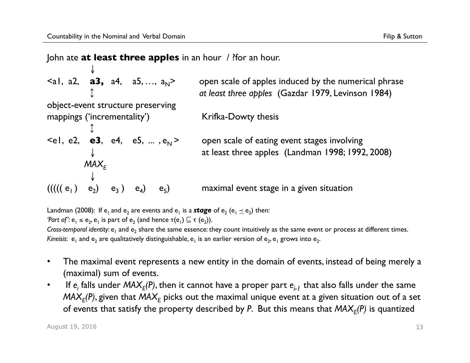#### John ate **at least three apples** in an hour / ?for an hour.

 $\langle a1, a2, a3, a4, a5, ..., a_N \rangle$ open scale of apples induced by the numerical phrase ↕ *at least three apples* (Gazdar 1979, Levinson 1984) object-event structure preserving mappings ('incrementality') Krifka-Dowty thesis ↕  $\leq$ el, e2, **e3**, e4, e5, ...,  $e_N$  > open scale of eating event stages involving at least three apples (Landman 1998; 1992, 2008)  $\downarrow$ <br> $MAX_F$ ↓  $((((e_1) e_2) e_3) e_4) e_5)$  e<sub>3</sub> ) e<sub>4</sub>) e<sub>5</sub> maximal event stage in a given situation

Landman (2008): If e<sub>1</sub> and e<sub>2</sub> are events and e<sub>1</sub> is a **stage** of e<sub>2</sub> (e<sub>1</sub>  $\leq$  e<sub>2</sub>) then: *'Part of'*:  $e_1 \le e_2$ ,  $e_1$  is part of  $e_2$  (and hence  $\tau(e_1) \subseteq \tau(e_2)$ ). *Cross-temporal identity*: e<sub>1</sub> and e<sub>2</sub> share the same essence: they count intuitively as the same event or process at different times. *Kineisis*:  $e_1$  and  $e_2$  are qualitatively distinguishable,  $e_1$  is an earlier version of  $e_2$ ,  $e_1$  grows into  $e_2$ .

- The maximal event represents a new entity in the domain of events, instead of being merely a (maximal) sum of events.
- If  $e_i$  falls under  $MAX_F(P)$ , then it cannot have a proper part  $e_{i,I}$  that also falls under the same  $MAX<sub>F</sub>(P)$ , given that  $MAX<sub>F</sub>$  picks out the maximal unique event at a given situation out of a set of events that satisfy the property described by P. But this means that  $MAX_F(P)$  is quantized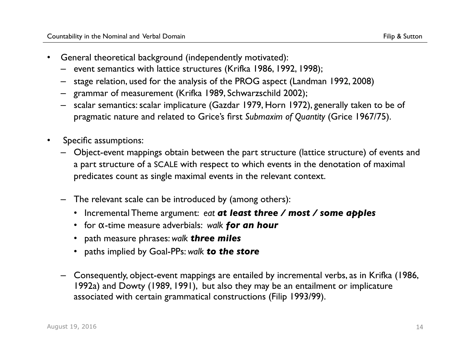- General theoretical background (independently motivated):
	- event semantics with lattice structures (Krifka 1986, 1992, 1998);
	- stage relation, used for the analysis of the PROG aspect (Landman 1992, 2008)
	- grammar of measurement (Krifka 1989, Schwarzschild 2002);
	- scalar semantics: scalar implicature (Gazdar 1979, Horn 1972), generally taken to be of pragmatic nature and related to Grice's first *Submaxim of Quantity* (Grice 1967/75).
- Specific assumptions:
	- Object-event mappings obtain between the part structure (lattice structure) of events and a part structure of a SCALE with respect to which events in the denotation of maximal predicates count as single maximal events in the relevant context.
	- The relevant scale can be introduced by (among others):
		- Incremental Theme argument: *eat at least three / most / some apples*
		- for α-time measure adverbials: *walk for an hour*
		- path measure phrases: *walk three miles*
		- paths implied by Goal-PPs: *walk to the store*
	- Consequently, object-event mappings are entailed by incremental verbs, as in Krifka (1986, 1992a) and Dowty (1989, 1991), but also they may be an entailment or implicature associated with certain grammatical constructions (Filip 1993/99).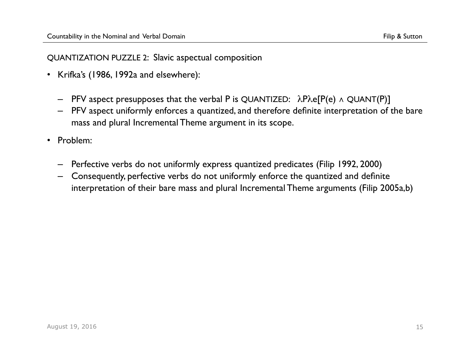#### QUANTIZATION PUZZLE 2: Slavic aspectual composition

- Krifka's (1986, 1992a and elsewhere):
	- PFV aspect presupposes that the verbal P is QUANTIZED: λPλe[P(e) ∧ QUANT(P)]
	- PFV aspect uniformly enforces a quantized, and therefore definite interpretation of the bare mass and plural Incremental Theme argument in its scope.
- Problem:
	- Perfective verbs do not uniformly express quantized predicates (Filip 1992, 2000)
	- Consequently, perfective verbs do not uniformly enforce the quantized and definite interpretation of their bare mass and plural Incremental Theme arguments (Filip 2005a,b)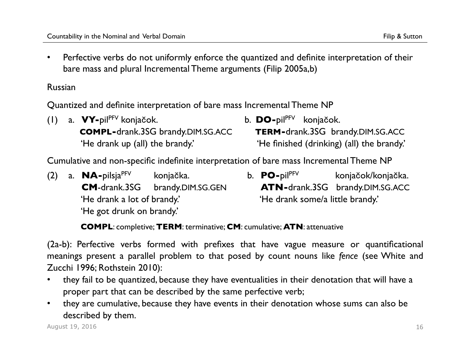• Perfective verbs do not uniformly enforce the quantized and definite interpretation of their bare mass and plural Incremental Theme arguments (Filip 2005a,b)

Russian

Quantized and definite interpretation of bare mass Incremental Theme NP

|  |                                 | $(1)$ a. $\mathbf{V}$ -pil <sup>pFV</sup> konjačok. | b. $\mathbf{DO}$ -pil <sup>pFV</sup> konjačok. |                                            |
|--|---------------------------------|-----------------------------------------------------|------------------------------------------------|--------------------------------------------|
|  |                                 | <b>COMPL-drank.3SG brandy.DIM.SG.ACC</b>            |                                                | <b>TERM-drank.3SG</b> brandy.DIM.SG.ACC    |
|  | 'He drank up (all) the brandy.' |                                                     |                                                | 'He finished (drinking) (all) the brandy.' |

Cumulative and non-specific indefinite interpretation of bare mass Incremental Theme NP

- (2) a. **NA-**pilsjaPFV konjačka. b. **PO-**pilPFV konjačok/konjačka. 'He drank a lot of brandy.' 'He drank some/a little brandy.' 'He got drunk on brandy.'
	- **CM**-drank.3SG brandy.DIM.SG.GEN **ATN-**drank.3SG brandy.DIM.SG.ACC

 **COMPL**: completive; **TERM**: terminative; **CM**: cumulative; **ATN**: attenuative

(2a-b): Perfective verbs formed with prefixes that have vague measure or quantificational meanings present a parallel problem to that posed by count nouns like *fence* (see White and Zucchi 1996; Rothstein 2010):

- they fail to be quantized, because they have eventualities in their denotation that will have a proper part that can be described by the same perfective verb;
- they are cumulative, because they have events in their denotation whose sums can also be described by them.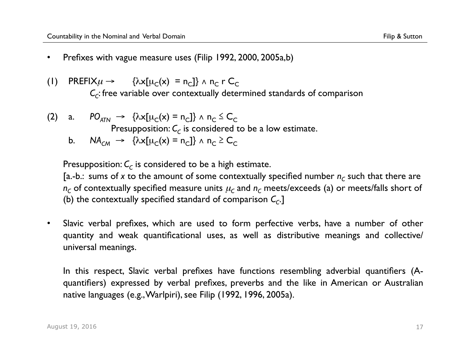- Prefixes with vague measure uses (Filip 1992, 2000, 2005a,b)
- (1) PREFIX $\mu \rightarrow \{\lambda x[\mu_C(x) = n_C]\}\wedge n_C r C_C$ *C*<sub>c</sub>: free variable over contextually determined standards of comparison
- $(2)$  a.  $PO_{ATN} \rightarrow \{ \lambda x[\mu_C(x) = n_C] \} \wedge n_C \leq C_C$ Presupposition:  $C_c$  is considered to be a low estimate.
	- b.  $NA_{CM} \rightarrow \{\lambda x[\mu_C(x) = n_C]\}\wedge n_C \geq C_C$

Presupposition:  $C_c$  is considered to be a high estimate.

[a.-b.: sums of x to the amount of some contextually specified number  $n_c$  such that there are  $n_c$  of contextually specified measure units  $\mu_c$  and  $n_c$  meets/exceeds (a) or meets/falls short of (b) the contextually specified standard of comparison  $C_c$ .]

• Slavic verbal prefixes, which are used to form perfective verbs, have a number of other quantity and weak quantificational uses, as well as distributive meanings and collective/ universal meanings.

In this respect, Slavic verbal prefixes have functions resembling adverbial quantifiers (Aquantifiers) expressed by verbal prefixes, preverbs and the like in American or Australian native languages (e.g., Warlpiri), see Filip (1992, 1996, 2005a).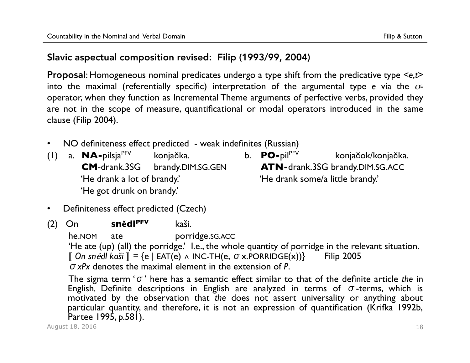# Slavic aspectual composition revised: Filip (1993/99, 2004)

Proposal: Homogeneous nominal predicates undergo a type shift from the predicative type *<e,t>* into the maximal (referentially specific) interpretation of the argumental type *e* via the σoperator, when they function as Incremental Theme arguments of perfective verbs, provided they are not in the scope of measure, quantificational or modal operators introduced in the same clause (Filip 2004).

- NO definiteness effect predicted weak indefinites (Russian)
- (1) a. **NA-**pilsjaPFV konjačka. b. **PO-**pilPFV konjačok/konjačka. **CM**-drank.3SG brandy.DIM.SG.GEN **ATN-**drank.3SG brandy.DIM.SG.ACC 'He drank a lot of brandy.' 'He drank some/a little brandy.' 'He got drunk on brandy.'
- Definiteness effect predicted (Czech)

(2) On **snĕdlPFV** kaši. he.nom ate porridge.sg.Acc 'He ate (up) (all) the porridge.' I.e., the whole quantity of porridge in the relevant situation. ⟦ *On sn*ĕ*dl kaši* ⟧ = {e | EAT(e) ∧ INC-TH(e, σx.PORRIDGE(x))} Filip 2005 σ*xPx* denotes the maximal element in the extension of *P*.

The sigma term 'σ' here has a semantic effect similar to that of the definite article *the* in English*.* Definite descriptions in English are analyzed in terms of σ-terms, which is motivated by the observation that *the* does not assert universality or anything about particular quantity, and therefore, it is not an expression of quantification (Krifka 1992b, Partee 1995, p.581).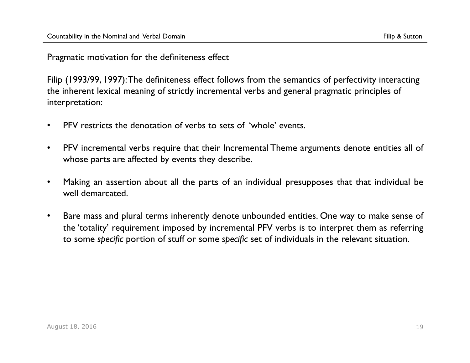Pragmatic motivation for the definiteness effect

Filip (1993/99, 1997): The definiteness effect follows from the semantics of perfectivity interacting the inherent lexical meaning of strictly incremental verbs and general pragmatic principles of interpretation:

- PFV restricts the denotation of verbs to sets of 'whole' events.
- PFV incremental verbs require that their Incremental Theme arguments denote entities all of whose parts are affected by events they describe.
- Making an assertion about all the parts of an individual presupposes that that individual be well demarcated.
- Bare mass and plural terms inherently denote unbounded entities. One way to make sense of the 'totality' requirement imposed by incremental PFV verbs is to interpret them as referring to some *specific* portion of stuff or some *specific* set of individuals in the relevant situation.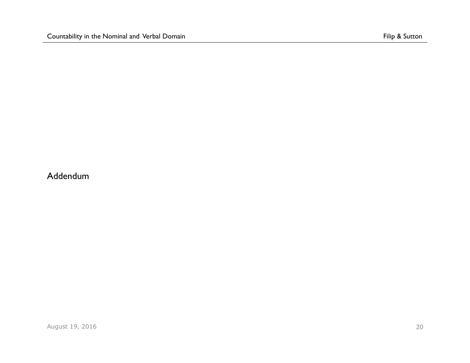Addendum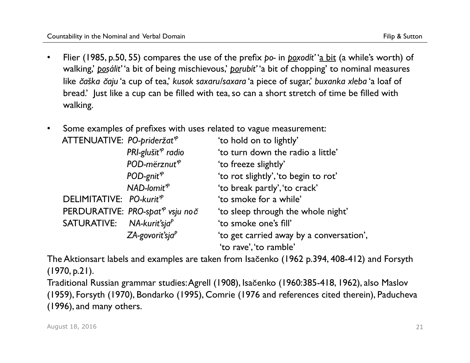- Flier (1985, p.50, 55) compares the use of the prefix *po-* in *poxodít'* 'a bit (a while's worth) of walking,' *posálit'* 'a bit of being mischievous,' *porubít'* 'a bit of chopping' to nominal measures like č*aška* č*aju* 'a cup of tea,' *kusok saxaru/saxara* 'a piece of sugar,' *buxanka xleba* 'a loaf of bread.' Just like a cup can be filled with tea, so can a short stretch of time be filled with walking.
- Some examples of prefixes with uses related to vague measurement:

| ATTENUATIVE: PO-prideržat <sup>*</sup> |                                             | 'to hold on to lightly'                  |
|----------------------------------------|---------------------------------------------|------------------------------------------|
|                                        | PRI-glušit <sup><sup>p</sup> radio</sup>    | 'to turn down the radio a little'        |
|                                        | POD-mërznut <sup>'</sup>                    | 'to freeze slightly'                     |
|                                        | $POD$ -gnit <sup><math>P</math></sup>       | 'to rot slightly', 'to begin to rot'     |
|                                        | $NAD$ -lomit <sup><math>P</math></sup>      | 'to break partly', 'to crack'            |
| DELIMITATIVE: PO-kurit <sup>7P</sup>   |                                             | 'to smoke for a while'                   |
|                                        | PERDURATIVE: PRO-spat <sup>"</sup> vsju noč | 'to sleep through the whole night'       |
| SATURATIVE: NA-kurit'sja <sup>P</sup>  |                                             | 'to smoke one's fill'                    |
|                                        | $ZA$ -govorit'sja $P$                       | 'to get carried away by a conversation', |
|                                        |                                             | 'to rave', 'to ramble'                   |

The Aktionsart labels and examples are taken from Isačenko (1962 p.394, 408-412) and Forsyth (1970, p.21).

Traditional Russian grammar studies: Agrell (1908), Isačenko (1960:385-418, 1962), also Maslov (1959), Forsyth (1970), Bondarko (1995), Comrie (1976 and references cited therein), Paducheva (1996), and many others.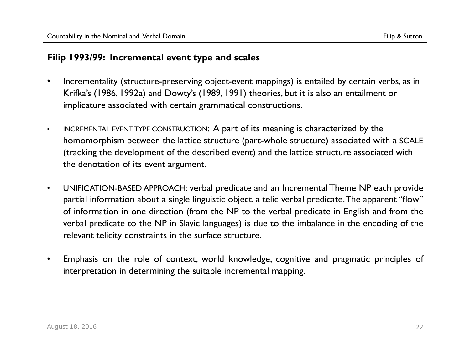## **Filip 1993/99: Incremental event type and scales**

- Incrementality (structure-preserving object-event mappings) is entailed by certain verbs, as in Krifka's (1986, 1992a) and Dowty's (1989, 1991) theories, but it is also an entailment or implicature associated with certain grammatical constructions.
- INCREMENTAL EVENT TYPE CONSTRUCTION: A part of its meaning is characterized by the homomorphism between the lattice structure (part-whole structure) associated with a SCALE (tracking the development of the described event) and the lattice structure associated with the denotation of its event argument.
- UNIFICATION-BASED APPROACH: verbal predicate and an Incremental Theme NP each provide partial information about a single linguistic object, a telic verbal predicate. The apparent "flow" of information in one direction (from the NP to the verbal predicate in English and from the verbal predicate to the NP in Slavic languages) is due to the imbalance in the encoding of the relevant telicity constraints in the surface structure.
- Emphasis on the role of context, world knowledge, cognitive and pragmatic principles of interpretation in determining the suitable incremental mapping.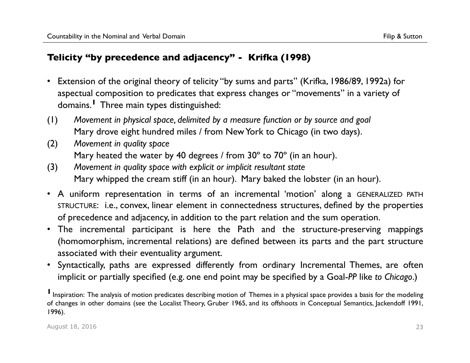## **Telicity "by precedence and adjacency" - Krifka (1998)**

- Extension of the original theory of telicity "by sums and parts" (Krifka, 1986/89, 1992a) for aspectual composition to predicates that express changes or "movements" in a variety of domains.**1** Three main types distinguished:
- (1) *Movement in physical space, delimited by a measure function or by source and goal* Mary drove eight hundred miles / from New York to Chicago (in two days).
- (2) *Movement in quality space* Mary heated the water by 40 degrees / from 30° to 70° (in an hour).
- (3) *Movement in quality space with explicit or implicit resultant state* Mary whipped the cream stiff (in an hour). Mary baked the lobster (in an hour).
- A uniform representation in terms of an incremental 'motion' along a GENERALIZED PATH STRUCTURE: i.e., convex, linear element in connectedness structures, defined by the properties of precedence and adjacency, in addition to the part relation and the sum operation.
- The incremental participant is here the Path and the structure-preserving mappings (homomorphism, incremental relations) are defined between its parts and the part structure associated with their eventuality argument.
- Syntactically, paths are expressed differently from ordinary Incremental Themes, are often implicit or partially specified (e.g. one end point may be specified by a Goal-*PP* like *to Chicago*.)

**I** Inspiration: The analysis of motion predicates describing motion of Themes in a physical space provides a basis for the modeling of changes in other domains (see the Localist Theory, Gruber 1965, and its offshoots in Conceptual Semantics, Jackendoff 1991, 1996).